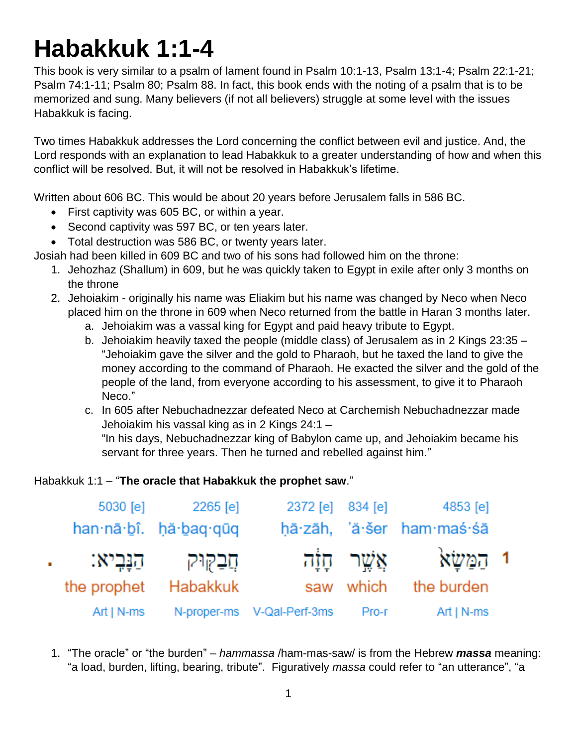# **Habakkuk 1:1-4**

This book is very similar to a psalm of lament found in Psalm 10:1-13, Psalm 13:1-4; Psalm 22:1-21; Psalm 74:1-11; Psalm 80; Psalm 88. In fact, this book ends with the noting of a psalm that is to be memorized and sung. Many believers (if not all believers) struggle at some level with the issues Habakkuk is facing.

Two times Habakkuk addresses the Lord concerning the conflict between evil and justice. And, the Lord responds with an explanation to lead Habakkuk to a greater understanding of how and when this conflict will be resolved. But, it will not be resolved in Habakkuk's lifetime.

Written about 606 BC. This would be about 20 years before Jerusalem falls in 586 BC.

- First captivity was 605 BC, or within a year.
- Second captivity was 597 BC, or ten years later.
- Total destruction was 586 BC, or twenty years later.

Josiah had been killed in 609 BC and two of his sons had followed him on the throne:

- 1. Jehozhaz (Shallum) in 609, but he was quickly taken to Egypt in exile after only 3 months on the throne
- 2. Jehoiakim originally his name was Eliakim but his name was changed by Neco when Neco placed him on the throne in 609 when Neco returned from the battle in Haran 3 months later.
	- a. Jehoiakim was a vassal king for Egypt and paid heavy tribute to Egypt.
	- b. Jehoiakim heavily taxed the people (middle class) of Jerusalem as in 2 Kings 23:35 "Jehoiakim gave the silver and the gold to Pharaoh, but he taxed the land to give the money according to the command of Pharaoh. He exacted the silver and the gold of the people of the land, from everyone according to his assessment, to give it to Pharaoh Neco."
	- c. In 605 after Nebuchadnezzar defeated Neco at Carchemish Nebuchadnezzar made Jehoiakim his vassal king as in 2 Kings 24:1 –

"In his days, Nebuchadnezzar king of Babylon came up, and Jehoiakim became his servant for three years. Then he turned and rebelled against him."

#### Habakkuk 1:1 – "**The oracle that Habakkuk the prophet saw**."

| 5030 [e]      | 2265 [e]              | 2372 [e] 834 [e]           |       | 4853 [e]                  |  |
|---------------|-----------------------|----------------------------|-------|---------------------------|--|
|               | han nā bî. hă baq quq |                            |       | hā zāh, 'ă šer ham maś śā |  |
| הַנָּבִיא:    | תֲבַקוּק              |                            |       | י הַמַּשָׂא אֲשֶׁר חָוָה  |  |
| the prophet   | Habakkuk              |                            |       | saw which the burden      |  |
| Art $  N$ -ms |                       | N-proper-ms V-Qal-Perf-3ms | Pro-r | Art   $N$ -ms             |  |

1. "The oracle" or "the burden" – *hammassa* /ham-mas-saw/ is from the Hebrew *massa* meaning: "a load, burden, lifting, bearing, tribute". Figuratively *massa* could refer to "an utterance", "a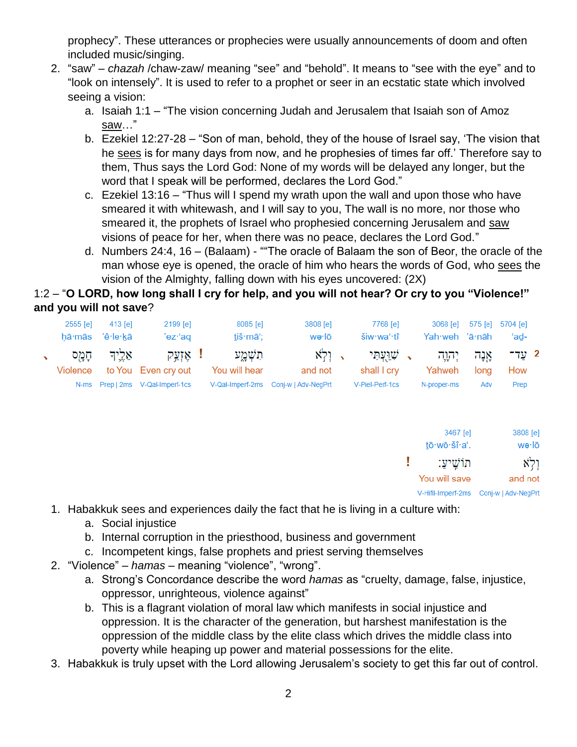prophecy". These utterances or prophecies were usually announcements of doom and often included music/singing.

- 2. "saw" *chazah* /chaw-zaw/ meaning "see" and "behold". It means to "see with the eye" and to "look on intensely". It is used to refer to a prophet or seer in an ecstatic state which involved seeing a vision:
	- a. Isaiah 1:1 "The vision concerning Judah and Jerusalem that Isaiah son of Amoz saw…"
	- b. Ezekiel 12:27-28 "Son of man, behold, they of the house of Israel say, 'The vision that he sees is for many days from now, and he prophesies of times far off.' Therefore say to them, Thus says the Lord God: None of my words will be delayed any longer, but the word that I speak will be performed, declares the Lord God."
	- c. Ezekiel 13:16 "Thus will I spend my wrath upon the wall and upon those who have smeared it with whitewash, and I will say to you, The wall is no more, nor those who smeared it, the prophets of Israel who prophesied concerning Jerusalem and saw visions of peace for her, when there was no peace, declares the Lord God."
	- d. Numbers 24:4, 16 (Balaam) ""The oracle of Balaam the son of Beor, the oracle of the man whose eye is opened, the oracle of him who hears the words of God, who sees the vision of the Almighty, falling down with his eyes uncovered: (2X)

# 1:2 – "**O LORD, how long shall I cry for help, and you will not hear? Or cry to you "Violence!" and you will not save**?

|       | 5704 [e]<br>ʻad-    | 575 [e]       | 3068 [e]<br>Yah weh 'ā nāh |   | 7768 [e]<br>šiw·waʻ·tî    |               | 3808 [e]<br>wə∙lō   | 8085 [e]<br>tiš·māʻ;      |   | 2199 [e]<br>'ez·'aq            | 413 [e]<br>'ê∙le∙kā | 2555 [e]<br>hā∙mās |   |
|-------|---------------------|---------------|----------------------------|---|---------------------------|---------------|---------------------|---------------------------|---|--------------------------------|---------------------|--------------------|---|
|       | 2 עַד־<br>How       | אֲנָה<br>long | יְהוָה<br>Yahweh           | ↖ | שׁוַעְתִּי<br>shall I cry | $\rightarrow$ | וְלְא<br>and not    | תִשְׁמֱע<br>You will hear | H | אָזְעַק<br>to You Even cry out | אֵלֱיִד             | הָמֻס<br>Violence  | ↖ |
|       | Prep                | Adv           | N-proper-ms                |   | V-Piel-Perf-1cs           |               | Conj-w   Adv-NegPrt | V-Qal-Imperf-2ms          |   | Prep   2ms V-Qal-Imperf-1cs    |                     | N-ms               |   |
|       |                     |               |                            |   |                           |               |                     |                           |   |                                |                     |                    |   |
| wə∙lō | 3808 [e]            |               | 3467 [e]<br>tō·wō·šî·a'.   |   |                           |               |                     |                           |   |                                |                     |                    |   |
| וְלְא |                     |               | ּתוֹשֵׁיעַ:                |   |                           |               |                     |                           |   |                                |                     |                    |   |
|       | and not             |               | You will save              |   |                           |               |                     |                           |   |                                |                     |                    |   |
|       | Conj-w   Adv-NegPrt |               | V-Hifil-Imperf-2ms         |   |                           |               |                     |                           |   |                                |                     |                    |   |

- 1. Habakkuk sees and experiences daily the fact that he is living in a culture with:
	- a. Social injustice
	- b. Internal corruption in the priesthood, business and government
	- c. Incompetent kings, false prophets and priest serving themselves
- 2. "Violence" *hamas* meaning "violence", "wrong".
	- a. Strong's Concordance describe the word *hamas* as "cruelty, damage, false, injustice, oppressor, unrighteous, violence against"
	- b. This is a flagrant violation of moral law which manifests in social injustice and oppression. It is the character of the generation, but harshest manifestation is the oppression of the middle class by the elite class which drives the middle class into poverty while heaping up power and material possessions for the elite.
- 3. Habakkuk is truly upset with the Lord allowing Jerusalem's society to get this far out of control.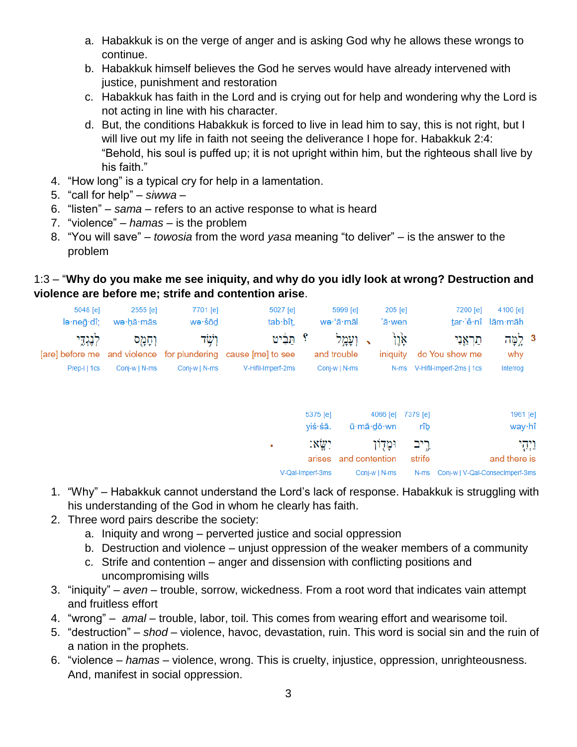- a. Habakkuk is on the verge of anger and is asking God why he allows these wrongs to continue.
- b. Habakkuk himself believes the God he serves would have already intervened with justice, punishment and restoration
- c. Habakkuk has faith in the Lord and is crying out for help and wondering why the Lord is not acting in line with his character.
- d. But, the conditions Habakkuk is forced to live in lead him to say, this is not right, but I will live out my life in faith not seeing the deliverance I hope for. Habakkuk 2:4: "Behold, his soul is puffed up; it is not upright within him, but the righteous shall live by his faith."
- 4. "How long" is a typical cry for help in a lamentation.
- 5. "call for help" *siwwa* –
- 6. "listen" *sama* refers to an active response to what is heard
- 7. "violence" *hamas* is the problem
- 8. "You will save" *towosia* from the word *yasa* meaning "to deliver" is the answer to the problem

# 1:3 – "**Why do you make me see iniquity, and why do you idly look at wrong? Destruction and violence are before me; strife and contention arise**.

|         | 4100 [e]<br>tar 'ê nî lām māh | 7200 [e]                                                     |                       | 205 [e]<br>'ā·wen |                                          | 5999 [e]<br>we·'ā·māl                |                            | 5027 [e]<br>tab bît,                                                            | 7701 [e]<br>we-šōd       | 2555 [e]<br>wə∙hā∙mās    | 5048 [e]<br>lə∙neā∙dî;                       |
|---------|-------------------------------|--------------------------------------------------------------|-----------------------|-------------------|------------------------------------------|--------------------------------------|----------------------------|---------------------------------------------------------------------------------|--------------------------|--------------------------|----------------------------------------------|
|         | 3 לֶמֶּה<br>why<br>Interrog   | מַרְאֵנִי<br>do You show me<br>N-ms V-Hifil-Imperf-2ms   1cs |                       | אָן†<br>iniquity  |                                          | ועמל<br>and trouble<br>Conj-w   N-ms |                            | תִּבִּיט<br>and violence for plundering cause [me] to see<br>V-Hifil-Imperf-2ms | ּרְשָׁד<br>Conj-w   N-ms | וְחָמֻס<br>Conj-w   N-ms | לְנֶגְדֶי<br>[are] before me<br>Prep-I   1cs |
|         | 1961 [e]                      |                                                              | 7379 [e]              |                   | 4066 [e]                                 |                                      | 5375 [e]                   |                                                                                 |                          |                          |                                              |
| וַיְהָי | way·hî<br>and there is        |                                                              | rîb<br>רֵיב<br>strife |                   | ū∙mā∙dō∙wn<br>ומְדִוֹן<br>and contention |                                      | yiś·śā.<br>:xiy:<br>arises | ٠                                                                               |                          |                          |                                              |
|         |                               | Conj-w   V-Qal-ConsecImperf-3ms                              | N-ms                  |                   | Conj-w   N-ms                            |                                      | V-Qal-Imperf-3ms           |                                                                                 |                          |                          |                                              |

- 1. "Why" Habakkuk cannot understand the Lord's lack of response. Habakkuk is struggling with his understanding of the God in whom he clearly has faith.
- 2. Three word pairs describe the society:
	- a. Iniquity and wrong perverted justice and social oppression
	- b. Destruction and violence unjust oppression of the weaker members of a community
	- c. Strife and contention anger and dissension with conflicting positions and uncompromising wills
- 3. "iniquity" *aven* trouble, sorrow, wickedness. From a root word that indicates vain attempt and fruitless effort
- 4. "wrong" *amal* trouble, labor, toil. This comes from wearing effort and wearisome toil.
- 5. "destruction" *shod* violence, havoc, devastation, ruin. This word is social sin and the ruin of a nation in the prophets.
- 6. "violence *hamas* violence, wrong. This is cruelty, injustice, oppression, unrighteousness. And, manifest in social oppression.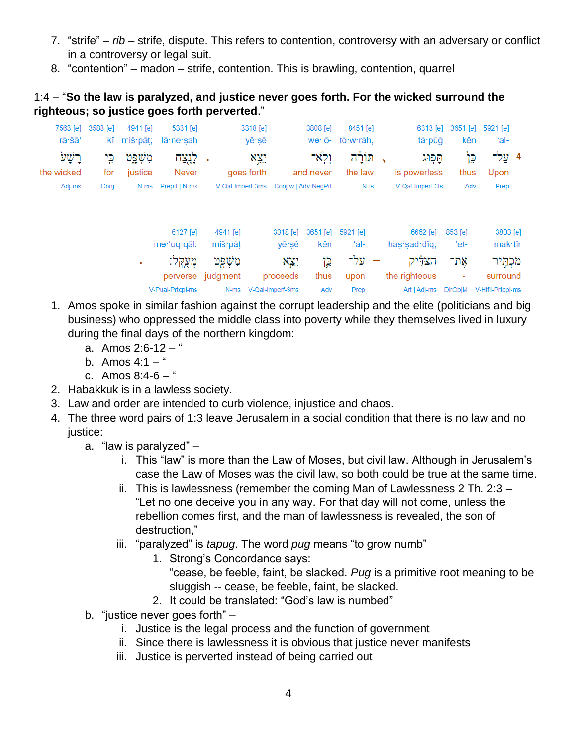- 7. "strife" *rib* strife, dispute. This refers to contention, controversy with an adversary or conflict in a controversy or legal suit.
- 8. "contention" madon strife, contention. This is brawling, contention, quarrel

### 1:4 – "**So the law is paralyzed, and justice never goes forth. For the wicked surround the righteous; so justice goes forth perverted**."

| ʻal-                | 5921 [e]          | 3651 [e]<br>kên             | 6313 [e]<br>tā · pūğ                        |        | 8451 [e]<br>tō·w·rāh, | 3808 [e]<br>wə·lō-                   |                                          | 3318 [e]<br>yê∙şê |                               | 5331 [e]<br>lā·ne·ṣaḥ        | 4941 [e]<br>$k\hat{i}$ miš·pāt; | 3588 [e]   | 7563 [e]<br>rā·šā'    |
|---------------------|-------------------|-----------------------------|---------------------------------------------|--------|-----------------------|--------------------------------------|------------------------------------------|-------------------|-------------------------------|------------------------------|---------------------------------|------------|-----------------------|
| 4 עֲל־              | Upon              | כֵּן<br>thus                | תפוג<br>is powerless                        |        | חוֹרַה<br>the law     | ולא־<br>and never                    |                                          | X¥?<br>goes forth |                               | לְנֻצַח<br>Never             | מִשְׁפֵט<br>justice             | כֵי<br>for | ּרֲשָׁע<br>the wicked |
| Prep                |                   | Adv                         | V-Qal-Imperf-3fs                            | $N-fs$ |                       | V-Qal-Imperf-3ms Conj-w   Adv-NeqPrt |                                          |                   |                               | Prep-I   N-ms                | N-ms                            | Conj       | Adj-ms                |
| 3803 [e]<br>mak·tîr |                   | $853$ [e]<br>'et-           | 6662 [e]<br>has $s$ and $d$ iq.             |        | 5921 [e]<br>'al-      | 3651 [e]<br>kên                      | 3318 [e]<br>yê∙şê                        |                   | 4941 [e]<br>miš·pāt           | 6127 [e]<br>me·'uq·qāl.      |                                 |            |                       |
| מכחיר<br>surround   | V-Hifil-Prtcpl-ms | אָת־<br>۰<br><b>DirObjM</b> | הַצַּדִּיק<br>the righteous<br>Art   Adj-ms |        | עַל־<br>upon<br>Prep  | <u>۾</u> ۲<br>thus<br>Adv            | X¥?<br>proceeds<br>N-ms V-Qal-Imperf-3ms |                   | מִשְׁפָט<br>perverse judgment | מְעֲקֵל:<br>V-Pual-Prtcpl-ms | ٠                               |            |                       |

- 1. Amos spoke in similar fashion against the corrupt leadership and the elite (politicians and big business) who oppressed the middle class into poverty while they themselves lived in luxury during the final days of the northern kingdom:
	- a. Amos  $2:6-12-$
	- b. Amos  $4:1 -$ "
	- c. Amos  $8:4-6-$ "
- 2. Habakkuk is in a lawless society.
- 3. Law and order are intended to curb violence, injustice and chaos.
- 4. The three word pairs of 1:3 leave Jerusalem in a social condition that there is no law and no justice:
	- a. "law is paralyzed"
		- i. This "law" is more than the Law of Moses, but civil law. Although in Jerusalem's case the Law of Moses was the civil law, so both could be true at the same time.
		- ii. This is lawlessness (remember the coming Man of Lawlessness 2 Th. 2:3 "Let no one deceive you in any way. For that day will not come, unless the rebellion comes first, and the man of lawlessness is revealed, the son of destruction,"
		- iii. "paralyzed" is *tapug*. The word *pug* means "to grow numb"
			- 1. Strong's Concordance says:
				- "cease, be feeble, faint, be slacked. *Pug* is a primitive root meaning to be sluggish -- cease, be feeble, faint, be slacked.
			- 2. It could be translated: "God's law is numbed"
	- b. "justice never goes forth"
		- i. Justice is the legal process and the function of government
		- ii. Since there is lawlessness it is obvious that justice never manifests
		- iii. Justice is perverted instead of being carried out